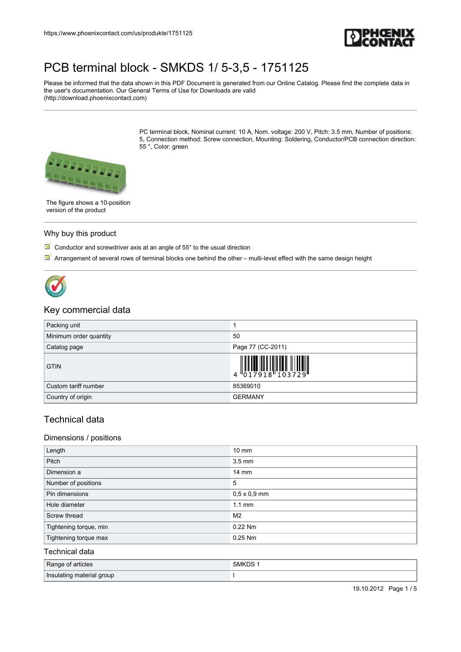

Please be informed that the data shown in this PDF Document is generated from our Online Catalog. Please find the complete data in the user's documentation. Our General Terms of Use for Downloads are valid (http://download.phoenixcontact.com)

> PC terminal block, Nominal current: 10 A, Nom. voltage: 200 V, Pitch: 3.5 mm, Number of positions: 5, Connection method: Screw connection, Mounting: Soldering, Conductor/PCB connection direction: 55 °, Color: green



The figure shows a 10-position version of the product

#### Why buy this product

 $\boxed{M}$  Conductor and screwdriver axis at an angle of 55° to the usual direction

 $\triangledown$  Arrangement of several rows of terminal blocks one behind the other – multi-level effect with the same design height



### Key commercial data

| Packing unit           |                                                                                      |
|------------------------|--------------------------------------------------------------------------------------|
| Minimum order quantity | 50                                                                                   |
| Catalog page           | Page 77 (CC-2011)                                                                    |
| <b>GTIN</b>            | $\begin{array}{c} 1 \ 4 \ 0 \ 1 \ 7 \ 9 \ 1 \ 8 \ 1 \ 0 \ 3 \ 7 \ 2 \ 9 \end{array}$ |
| Custom tariff number   | 85369010                                                                             |
| Country of origin      | <b>GERMANY</b>                                                                       |

## Technical data

#### Dimensions / positions

| Length                 | $10 \text{ mm}$     |
|------------------------|---------------------|
| Pitch                  | $3.5 \text{ mm}$    |
| Dimension a            | $14 \text{ mm}$     |
| Number of positions    | 5                   |
| Pin dimensions         | $0,5 \times 0,9$ mm |
| Hole diameter          | $1.1 \text{ mm}$    |
| Screw thread           | M <sub>2</sub>      |
| Tightening torque, min | 0.22 Nm             |
| Tightening torque max  | $0.25$ Nm           |
| Technical data         |                     |

| Range of articles         | <b>SMKDS</b> |
|---------------------------|--------------|
| Insulating material group |              |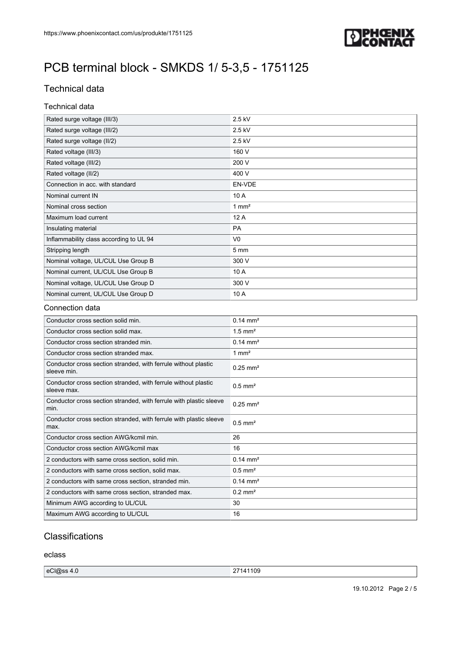

## Technical data

#### Technical data

| Rated surge voltage (III/3)             | 2.5 kV           |
|-----------------------------------------|------------------|
| Rated surge voltage (III/2)             | 2.5 kV           |
| Rated surge voltage (II/2)              | 2.5 kV           |
| Rated voltage (III/3)                   | 160 V            |
| Rated voltage (III/2)                   | 200 V            |
| Rated voltage (II/2)                    | 400 V            |
| Connection in acc. with standard        | EN-VDE           |
| Nominal current IN                      | 10 A             |
| Nominal cross section                   | $1 \text{ mm}^2$ |
| Maximum load current                    | 12 A             |
| Insulating material                     | <b>PA</b>        |
| Inflammability class according to UL 94 | V <sub>0</sub>   |
| Stripping length                        | 5 <sub>mm</sub>  |
| Nominal voltage, UL/CUL Use Group B     | 300 V            |
| Nominal current, UL/CUL Use Group B     | 10 A             |
| Nominal voltage, UL/CUL Use Group D     | 300 V            |
| Nominal current, UL/CUL Use Group D     | 10 A             |

#### Connection data

| Conductor cross section solid min.                                            | $0.14 \text{ mm}^2$    |
|-------------------------------------------------------------------------------|------------------------|
| Conductor cross section solid max.                                            | $1.5$ mm <sup>2</sup>  |
| Conductor cross section stranded min.                                         | $0.14 \text{ mm}^2$    |
| Conductor cross section stranded max.                                         | 1 mm <sup>2</sup>      |
| Conductor cross section stranded, with ferrule without plastic<br>sleeve min. | $0.25$ mm <sup>2</sup> |
| Conductor cross section stranded, with ferrule without plastic<br>sleeve max. | $0.5$ mm <sup>2</sup>  |
| Conductor cross section stranded, with ferrule with plastic sleeve<br>min.    | $0.25$ mm <sup>2</sup> |
| Conductor cross section stranded, with ferrule with plastic sleeve<br>max.    | $0.5$ mm <sup>2</sup>  |
| Conductor cross section AWG/kcmil min.                                        | 26                     |
| Conductor cross section AWG/kcmil max                                         | 16                     |
| 2 conductors with same cross section, solid min.                              | $0.14 \, \text{mm}^2$  |
| 2 conductors with same cross section, solid max.                              | $0.5$ mm <sup>2</sup>  |
| 2 conductors with same cross section, stranded min.                           | $0.14 \text{ mm}^2$    |
| 2 conductors with same cross section, stranded max.                           | $0.2$ mm <sup>2</sup>  |
| Minimum AWG according to UL/CUL                                               | 30                     |
| Maximum AWG according to UL/CUL                                               | 16                     |

### **Classifications**

eclass

| eCl@ss 4.6 | 109<br>ົ <sup>ລ</sup> 7141 ເປ<br>$\epsilon$ |
|------------|---------------------------------------------|
|------------|---------------------------------------------|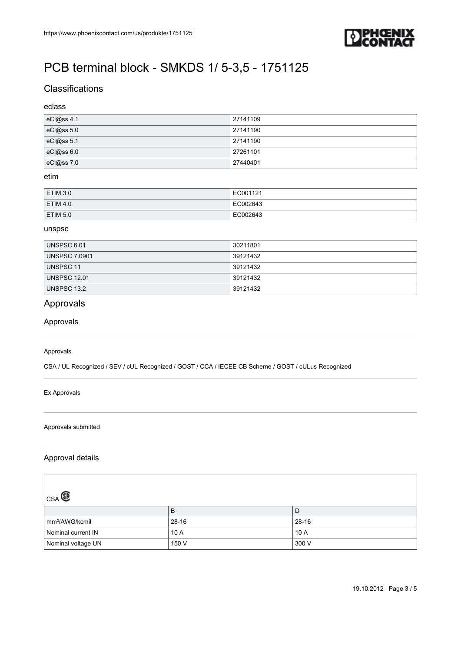

### **Classifications**

#### eclass

| eCl@ss 4.1     | 27141109 |
|----------------|----------|
| $ eC $ @ss 5.0 | 27141190 |
| eCl@ss 5.1     | 27141190 |
| eC @ss6.0      | 27261101 |
| eCl@ss7.0      | 27440401 |

#### etim

| <b>ETIM 3.0</b> | EC001121 |
|-----------------|----------|
| <b>ETIM 4.0</b> | EC002643 |
| <b>ETIM 5.0</b> | EC002643 |

#### unspsc

| UNSPSC 6.01          | 30211801 |
|----------------------|----------|
| <b>UNSPSC 7.0901</b> | 39121432 |
| UNSPSC 11            | 39121432 |
| UNSPSC 12.01         | 39121432 |
| UNSPSC 13.2          | 39121432 |

## Approvals

Approvals

#### Approvals

CSA / UL Recognized / SEV / cUL Recognized / GOST / CCA / IECEE CB Scheme / GOST / cULus Recognized

#### Ex Approvals

#### Approvals submitted

#### Approval details

| CSA <sup>C</sup>           |           |           |
|----------------------------|-----------|-----------|
|                            | B         | D         |
| mm <sup>2</sup> /AWG/kcmil | $28 - 16$ | $28 - 16$ |
| Nominal current IN         | 10A       | 10A       |
| Nominal voltage UN         | 150 V     | 300 V     |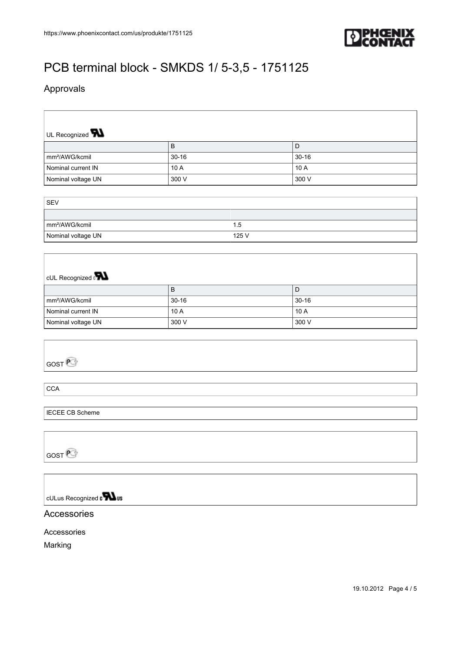

## Approvals

| UL Recognized <b>W</b>                   |           |       |           |  |  |
|------------------------------------------|-----------|-------|-----------|--|--|
|                                          | $\sf B$   |       | D         |  |  |
| mm <sup>2</sup> /AWG/kcmil               | $30 - 16$ |       | $30 - 16$ |  |  |
| Nominal current IN                       | 10 A      |       | 10 A      |  |  |
| Nominal voltage UN                       | 300 V     |       | 300 V     |  |  |
|                                          |           |       |           |  |  |
| SEV                                      |           |       |           |  |  |
|                                          |           |       |           |  |  |
| mm <sup>2</sup> /AWG/kcmil               |           | 1.5   |           |  |  |
| Nominal voltage UN                       |           | 125 V |           |  |  |
|                                          |           |       |           |  |  |
|                                          |           |       |           |  |  |
|                                          |           |       |           |  |  |
| cUL Recognized <b>PN</b>                 |           |       |           |  |  |
|                                          | $\sf B$   |       | D         |  |  |
| mm <sup>2</sup> /AWG/kcmil               | $30 - 16$ |       | $30 - 16$ |  |  |
| Nominal current IN                       | 10 A      |       | 10 A      |  |  |
| Nominal voltage UN                       | 300 V     |       | 300 V     |  |  |
|                                          |           |       |           |  |  |
|                                          |           |       |           |  |  |
| GOST <sup>P</sup>                        |           |       |           |  |  |
|                                          |           |       |           |  |  |
|                                          |           |       |           |  |  |
| <b>CCA</b>                               |           |       |           |  |  |
|                                          |           |       |           |  |  |
| <b>IECEE CB Scheme</b>                   |           |       |           |  |  |
|                                          |           |       |           |  |  |
|                                          |           |       |           |  |  |
| $\cos E$                                 |           |       |           |  |  |
|                                          |           |       |           |  |  |
|                                          |           |       |           |  |  |
|                                          |           |       |           |  |  |
| cULus Recognized $\sqrt{\phantom{a}}$ us |           |       |           |  |  |
|                                          |           |       |           |  |  |
| Accessories                              |           |       |           |  |  |
| Accessories                              |           |       |           |  |  |
| Marking                                  |           |       |           |  |  |
|                                          |           |       |           |  |  |